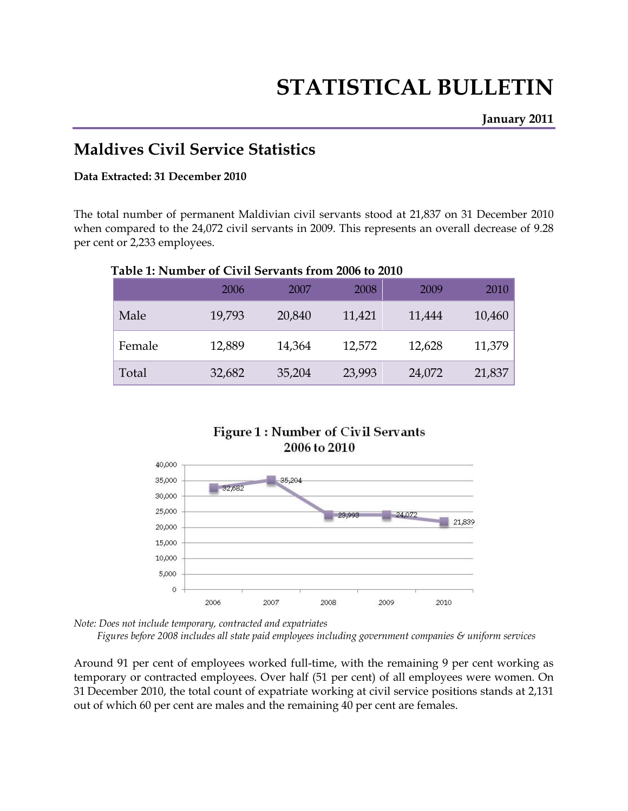# **STATISTICAL BULLETIN**

# **Maldives Civil Service Statistics**

#### **Data Extracted: 31 December 2010**

The total number of permanent Maldivian civil servants stood at 21,837 on 31 December 2010 when compared to the 24,072 civil servants in 2009. This represents an overall decrease of 9.28 per cent or 2,233 employees.

| Table 1: Number of Civil Servants from 2006 to 2010 |        |        |        |        |        |
|-----------------------------------------------------|--------|--------|--------|--------|--------|
|                                                     | 2006   | 2007   | 2008   | 2009   | 2010   |
| Male                                                | 19,793 | 20,840 | 11,421 | 11,444 | 10,460 |
| Female                                              | 12,889 | 14,364 | 12,572 | 12,628 | 11,379 |
| Total                                               | 32,682 | 35,204 | 23,993 | 24,072 | 21,837 |

#### **Table 1: Number of Civil Servants from 2006 to 2010**



*Note: Does not include temporary, contracted and expatriates* 

 *Figures before 2008 includes all state paid employees including government companies & uniform services* 

Around 91 per cent of employees worked full-time, with the remaining 9 per cent working as temporary or contracted employees. Over half (51 per cent) of all employees were women. On 31 December 2010, the total count of expatriate working at civil service positions stands at 2,131 out of which 60 per cent are males and the remaining 40 per cent are females.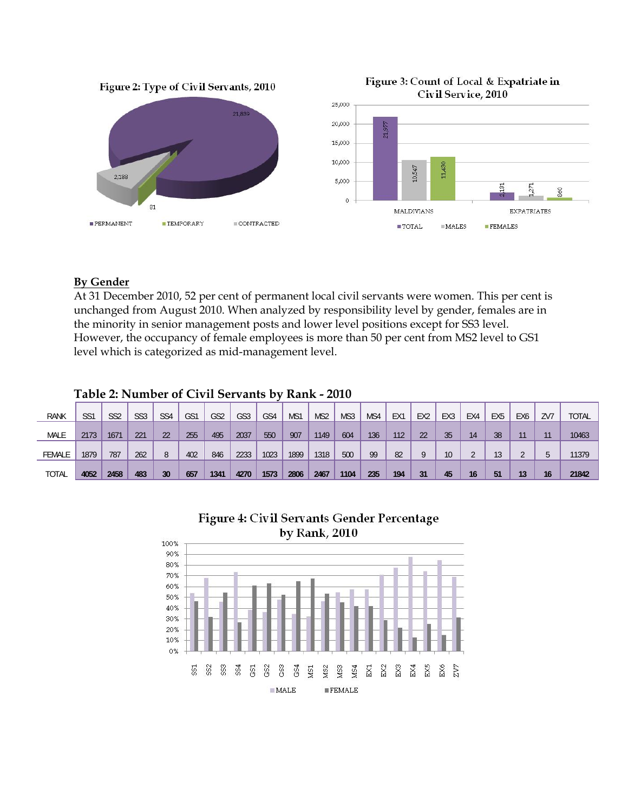

#### **By Gender**

At 31 December 2010, 52 per cent of permanent local civil servants were women. This per cent is unchanged from August 2010. When analyzed by responsibility level by gender, females are in the minority in senior management posts and lower level positions except for SS3 level. However, the occupancy of female employees is more than 50 per cent from MS2 level to GS1 level which is categorized as mid-management level.

|               |                 | Table 2. INUMBER OF CIVIL SERVANTS DV RAMN - 2010 |                 |                 |     |                 |      |      |      |                 |      |     |     |                 |                 |                 |                 |                 |     |              |
|---------------|-----------------|---------------------------------------------------|-----------------|-----------------|-----|-----------------|------|------|------|-----------------|------|-----|-----|-----------------|-----------------|-----------------|-----------------|-----------------|-----|--------------|
| <b>RANK</b>   | SS <sub>1</sub> | SS <sub>2</sub>                                   | SS <sub>3</sub> | SS <sub>4</sub> | GS1 | GS <sub>2</sub> | GS3  | GS4  | MS1  | MS <sub>2</sub> | MS3  | MS4 | EX1 | EX <sub>2</sub> | EX <sub>3</sub> | EX4             | EX <sub>5</sub> | EX <sub>6</sub> | ZV7 | <b>TOTAL</b> |
| <b>MALE</b>   | 2173            | 1671                                              | 221             | 22              | 255 | 495             | 2037 | 550  | 907  | 1149            | 604  | 136 | 112 | 22              | 35              | 14              | 38              |                 |     | 10463        |
| <b>FEMALE</b> | 1879            | 787                                               | 262             |                 | 402 | 846             | 2233 | 1023 | 1899 | 1318            | 500  | 99  | 82  | 0               | 10              |                 | 13              |                 |     | 11379        |
| <b>TOTAL</b>  | 4052            | 2458                                              | 483             | 30              | 657 | 1341            | 4270 | 1573 | 2806 | 2467            | 1104 | 235 | 194 | 31              | 45              | 16 <sup>1</sup> | 51              | 13              | 16  | 21842        |

### **Table 2: Number of Civil Servants by Rank - 2010**



# Figure 4: Civil Servants Gender Percentage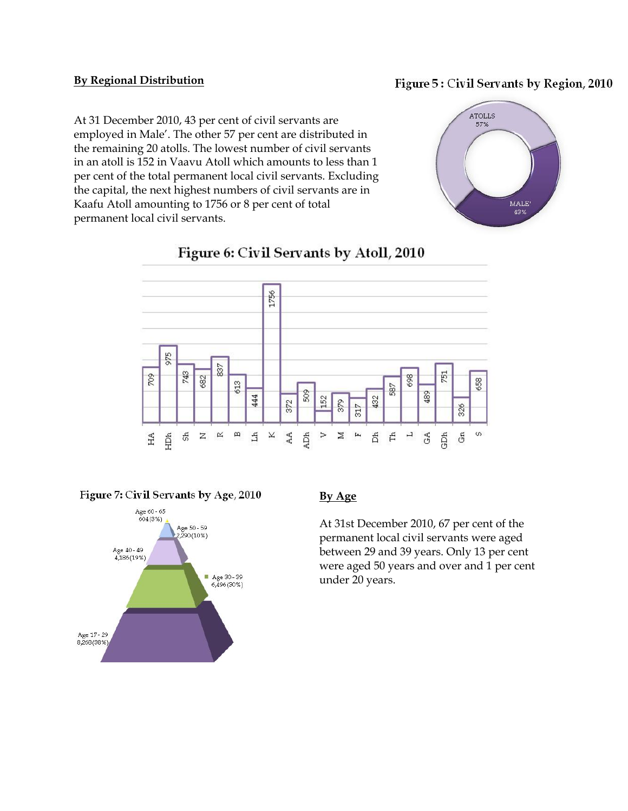#### **By Regional Distribution**

#### Figure 5: Civil Servants by Region, 2010

At 31 December 2010, 43 per cent of civil servants are employed in Male'. The other 57 per cent are distributed in the remaining 20 atolls. The lowest number of civil servants in an atoll is 152 in Vaavu Atoll which amounts to less than 1 per cent of the total permanent local civil servants. Excluding the capital, the next highest numbers of civil servants are in Kaafu Atoll amounting to 1756 or 8 per cent of total permanent local civil servants.





## Figure 6: Civil Servants by Atoll, 2010

Figure 7: Civil Servants by Age, 2010



### **By Age**

At 31st December 2010, 67 per cent of the permanent local civil servants were aged between 29 and 39 years. Only 13 per cent were aged 50 years and over and 1 per cent under 20 years.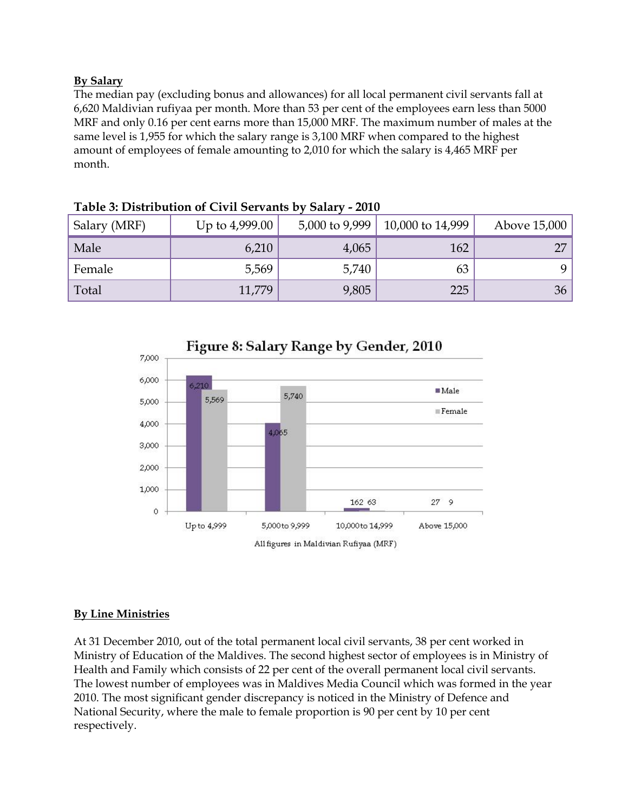#### **By Salary**

The median pay (excluding bonus and allowances) for all local permanent civil servants fall at 6,620 Maldivian rufiyaa per month. More than 53 per cent of the employees earn less than 5000 MRF and only 0.16 per cent earns more than 15,000 MRF. The maximum number of males at the same level is 1,955 for which the salary range is 3,100 MRF when compared to the highest amount of employees of female amounting to 2,010 for which the salary is 4,465 MRF per month.

| Salary (MRF) | Up to 4,999.00 | 5,000 to 9,999 | 10,000 to 14,999 | Above 15,000 |
|--------------|----------------|----------------|------------------|--------------|
| Male         | 6,210          | 4,065          | 162              | 27           |
| Female       | 5,569          | 5,740          | 63               | Q            |
| Total        | 11,779         | 9,805          | 225              | 36           |

#### **Table 3: Distribution of Civil Servants by Salary - 2010**



### **By Line Ministries**

At 31 December 2010, out of the total permanent local civil servants, 38 per cent worked in Ministry of Education of the Maldives. The second highest sector of employees is in Ministry of Health and Family which consists of 22 per cent of the overall permanent local civil servants. The lowest number of employees was in Maldives Media Council which was formed in the year 2010. The most significant gender discrepancy is noticed in the Ministry of Defence and National Security, where the male to female proportion is 90 per cent by 10 per cent respectively.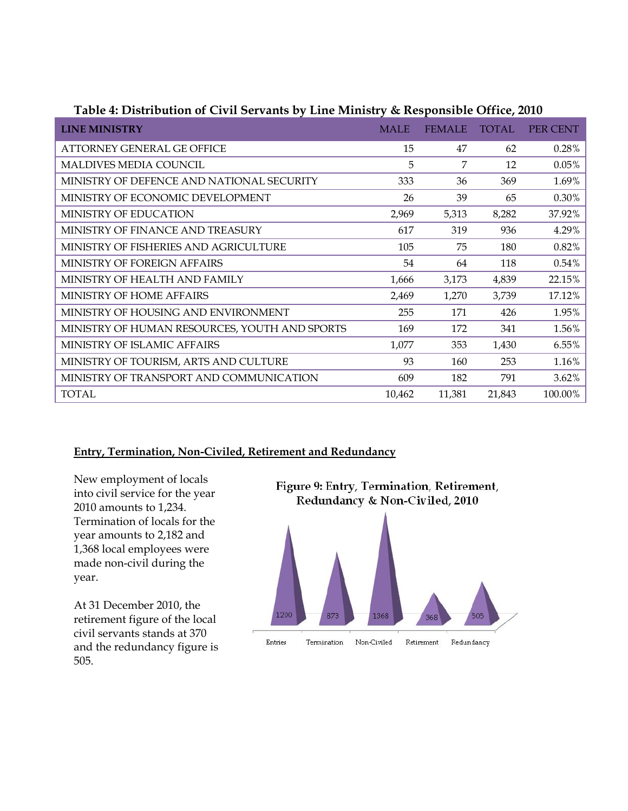| <b>LINE MINISTRY</b>                          | <b>MALE</b> | <b>FEMALE</b> | <b>TOTAL</b> | PER CENT |
|-----------------------------------------------|-------------|---------------|--------------|----------|
| <b>ATTORNEY GENERAL GE OFFICE</b>             | 15          | 47            | 62           | 0.28%    |
| <b>MALDIVES MEDIA COUNCIL</b>                 | 5           | 7             | 12           | 0.05%    |
| MINISTRY OF DEFENCE AND NATIONAL SECURITY     | 333         | 36            | 369          | 1.69%    |
| MINISTRY OF ECONOMIC DEVELOPMENT              | 26          | 39            | 65           | 0.30%    |
| MINISTRY OF EDUCATION                         | 2,969       | 5,313         | 8,282        | 37.92%   |
| MINISTRY OF FINANCE AND TREASURY              | 617         | 319           | 936          | 4.29%    |
| MINISTRY OF FISHERIES AND AGRICULTURE         | 105         | 75            | 180          | 0.82%    |
| MINISTRY OF FOREIGN AFFAIRS                   | 54          | 64            | 118          | 0.54%    |
| MINISTRY OF HEALTH AND FAMILY                 | 1,666       | 3,173         | 4,839        | 22.15%   |
| <b>MINISTRY OF HOME AFFAIRS</b>               | 2,469       | 1,270         | 3,739        | 17.12%   |
| MINISTRY OF HOUSING AND ENVIRONMENT           | 255         | 171           | 426          | 1.95%    |
| MINISTRY OF HUMAN RESOURCES, YOUTH AND SPORTS | 169         | 172           | 341          | 1.56%    |
| MINISTRY OF ISLAMIC AFFAIRS                   | 1,077       | 353           | 1,430        | 6.55%    |
| MINISTRY OF TOURISM, ARTS AND CULTURE         | 93          | 160           | 253          | 1.16%    |
| MINISTRY OF TRANSPORT AND COMMUNICATION       | 609         | 182           | 791          | $3.62\%$ |
| <b>TOTAL</b>                                  | 10,462      | 11,381        | 21,843       | 100.00%  |

#### **Table 4: Distribution of Civil Servants by Line Ministry & Responsible Office, 2010**

#### **Entry, Termination, Non-Civiled, Retirement and Redundancy**

New employment of locals into civil service for the year 2010 amounts to 1,234. Termination of locals for the year amounts to 2,182 and 1,368 local employees were made non-civil during the year.

At 31 December 2010, the retirement figure of the local civil servants stands at 370 and the redundancy figure is 505.

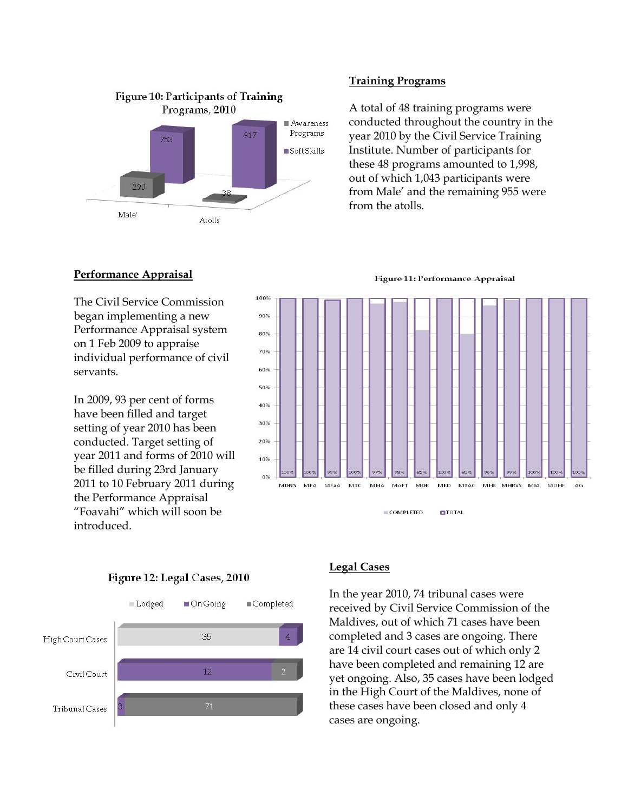

#### **Training Programs**

A total of 48 training programs were conducted throughout the country in the year 2010 by the Civil Service Training Institute. Number of participants for these 48 programs amounted to 1,998, out of which 1,043 participants were from Male' and the remaining 955 were from the atolls.

Figure 11: Performance Appraisal

#### **Performance Appraisal**

The Civil Service Commission began implementing a new Performance Appraisal system on 1 Feb 2009 to appraise individual performance of civil servants.

In 2009, 93 per cent of forms have been filled and target setting of year 2010 has been conducted. Target setting of year 2011 and forms of 2010 will be filled during 23rd January 2011 to 10 February 2011 during the Performance Appraisal "Foavahi" which will soon be introduced.







#### **Legal Cases**

In the year 2010, 74 tribunal cases were received by Civil Service Commission of the Maldives, out of which 71 cases have been completed and 3 cases are ongoing. There are 14 civil court cases out of which only 2 have been completed and remaining 12 are yet ongoing. Also, 35 cases have been lodged in the High Court of the Maldives, none of these cases have been closed and only 4 cases are ongoing.